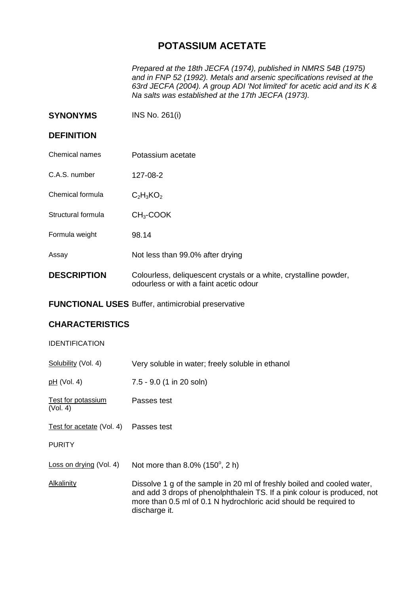## **POTASSIUM ACETATE**

*Prepared at the 18th JECFA (1974), published in NMRS 54B (1975) and in FNP 52 (1992). Metals and arsenic specifications revised at the 63rd JECFA (2004). A group ADI 'Not limited' for acetic acid and its K & Na salts was established at the 17th JECFA (1973).*

**SYNONYMS** INS No. 261(i)

## **DEFINITION**

- Chemical names Potassium acetate
- C.A.S. number 127-08-2
- Chemical formula  $C_2H_3KO_2$
- Structural formula CH<sub>3</sub>-COOK
- Formula weight 98.14
- Assay Not less than 99.0% after drying
- **DESCRIPTION** Colourless, deliquescent crystals or a white, crystalline powder, odourless or with a faint acetic odour
- **FUNCTIONAL USES** Buffer, antimicrobial preservative

## **CHARACTERISTICS**

## IDENTIFICATION

| Very soluble in water; freely soluble in ethanol                                                                                                                                                                                          |
|-------------------------------------------------------------------------------------------------------------------------------------------------------------------------------------------------------------------------------------------|
| 7.5 - 9.0 (1 in 20 soln)                                                                                                                                                                                                                  |
| Passes test                                                                                                                                                                                                                               |
| Passes test                                                                                                                                                                                                                               |
|                                                                                                                                                                                                                                           |
| Not more than $8.0\%$ (150 $^{\circ}$ , 2 h)                                                                                                                                                                                              |
| Dissolve 1 g of the sample in 20 ml of freshly boiled and cooled water,<br>and add 3 drops of phenolphthalein TS. If a pink colour is produced, not<br>more than 0.5 ml of 0.1 N hydrochloric acid should be required to<br>discharge it. |
|                                                                                                                                                                                                                                           |